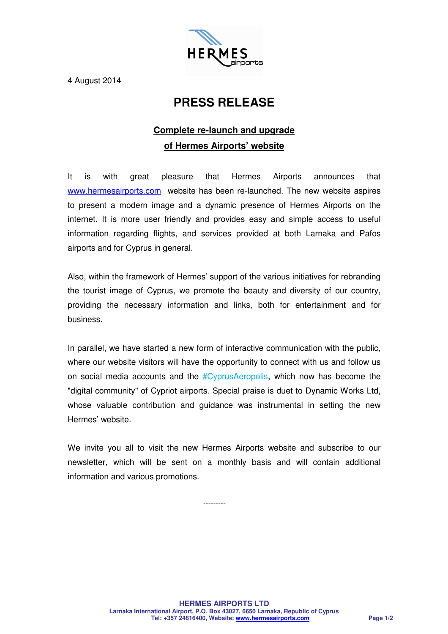

4 August 2014

## **PRESS RELEASE**

## **Complete re-launch and upgrade of Hermes Airports' website**

It is with great pleasure that Hermes Airports announces that www.hermesairports.com website has been re-launched. The new website aspires to present a modern image and a dynamic presence of Hermes Airports on the internet. It is more user friendly and provides easy and simple access to useful information regarding flights, and services provided at both Larnaka and Pafos airports and for Cyprus in general.

Also, within the framework of Hermes' support of the various initiatives for rebranding the tourist image of Cyprus, we promote the beauty and diversity of our country, providing the necessary information and links, both for entertainment and for business.

In parallel, we have started a new form of interactive communication with the public, where our website visitors will have the opportunity to connect with us and follow us on social media accounts and the #CyprusAeropolis, which now has become the "digital community" of Cypriot airports. Special praise is duet to Dynamic Works Ltd, whose valuable contribution and guidance was instrumental in setting the new Hermes' website.

We invite you all to visit the new Hermes Airports website and subscribe to our newsletter, which will be sent on a monthly basis and will contain additional information and various promotions.

---------

**HERMES AIRPORTS LTD Larnaka International Airport, P.O. Box 43027, 6650 Larnaka, Republic of Cyprus Tel: +357 24816400, Website: www.hermesairports.com Page 1/2**